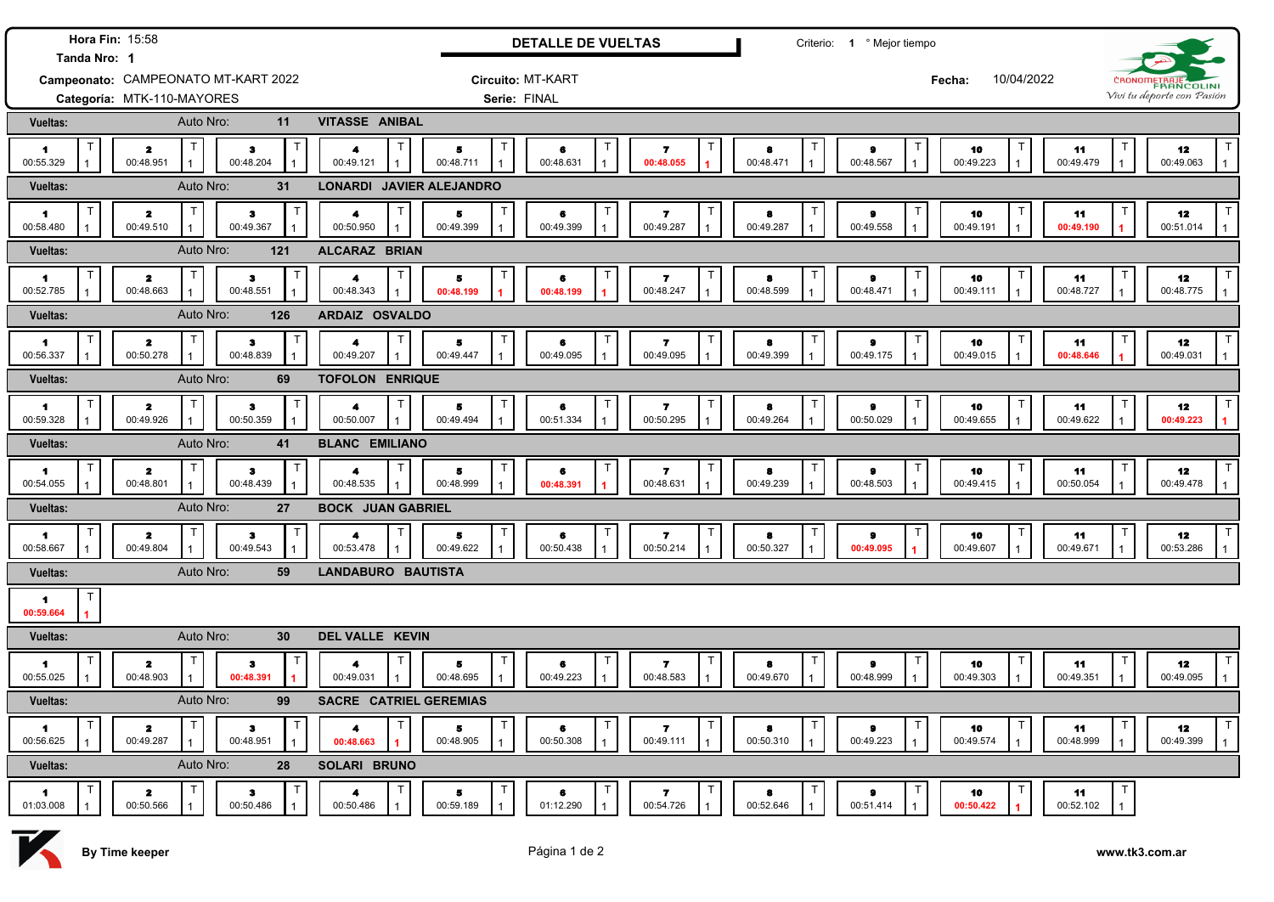| Hora Fin: 15:58<br>Tanda Nro: 1           |                                           |                                        |                               |                          | <b>DETALLE DE VUELTAS</b>      |                                             |                      | Criterio: 1 º Mejor tiempo            |                                |                           |                                                |  |
|-------------------------------------------|-------------------------------------------|----------------------------------------|-------------------------------|--------------------------|--------------------------------|---------------------------------------------|----------------------|---------------------------------------|--------------------------------|---------------------------|------------------------------------------------|--|
|                                           | Campeonato: CAMPEONATO MT-KART 2022       |                                        |                               | Circuito: MT-KART        |                                |                                             | 10/04/2022<br>Fecha: |                                       |                                |                           | CRONOMETRAJE                                   |  |
| Categoría: MTK-110-MAYORES                |                                           |                                        |                               | Serie: FINAL             |                                |                                             |                      |                                       |                                |                           | Vivi tu deporte con Pasión                     |  |
| Auto Nro:<br>11<br><b>Vueltas:</b>        |                                           |                                        | <b>VITASSE ANIBAL</b>         |                          |                                |                                             |                      |                                       |                                |                           |                                                |  |
| 1<br>00:55.329                            | $\mathbf{z}$<br>00:48.951                 | T<br>3<br>00:48.204                    | 4<br>00:49.121                | 5<br>00:48.711           | 6<br>00:48.631                 | 7<br>00:48.055                              | 8<br>00:48.471       | T<br>$\bullet$<br>00:48.567           | 10<br>00:49.223                | 11<br>00:49.479           | 12<br>00:49.063<br>$\mathbf{1}$                |  |
| <b>Vueltas:</b>                           | Auto Nro:                                 | 31                                     | <b>LONARDI</b>                | <b>JAVIER ALEJANDRO</b>  |                                |                                             |                      |                                       |                                |                           |                                                |  |
| $\blacksquare$<br>00:58.480               | $\mathsf{T}$<br>2<br>00:49.510            | $\mathsf{T}$<br>$\bullet$<br>00:49.367 | 4<br>00:50.950                | Б<br>00:49.399           | 6<br>00:49.399                 | 7<br>00:49.287<br>$\overline{1}$            | 8<br>00:49.287       | $\mathsf T$<br>$\bullet$<br>00:49.558 | 10<br>00:49.191                | 11<br>00:49.190           | T<br>12<br>00:51.014<br>$\blacksquare$         |  |
| Auto Nro:<br>121<br>Vueltas:              |                                           |                                        | ALCARAZ BRIAN                 |                          |                                |                                             |                      |                                       |                                |                           |                                                |  |
| 1<br>00:52.785                            | $\mathsf{T}$<br>$\mathbf{z}$<br>00:48.663 | T<br>3<br>00:48.551                    | 4<br>00:48.343                | 5<br>00:48.199           | $\mathsf{T}$<br>6<br>00:48.199 | 7.<br>00:48.247<br>$\overline{1}$           | 8<br>00:48.599       | T<br>9<br>00:48.471                   | 10<br>00:49.111                | 11<br>00:48.727           | T<br>12<br>00:48.775<br>$\mathbf{1}$           |  |
| <b>Vueltas:</b>                           | Auto Nro:                                 | 126                                    | ARDAIZ OSVALDO                |                          |                                |                                             |                      |                                       |                                |                           |                                                |  |
| 1.<br>00:56.337                           | $\mathbf{z}$<br>00:50.278                 | T<br>$\mathbf{3}$<br>00:48.839         | 4<br>00:49.207                | 5<br>00:49.447           | 6<br>00:49.095                 | 7<br>00:49.095                              | 8<br>00:49.399       | 9<br>00:49.175                        | 10<br>00:49.015                | 11<br>00:48.646           | $\mathsf T$<br>12<br>00:49.031<br>$\mathbf{1}$ |  |
| <b>Vueltas:</b>                           | Auto Nro:                                 | 69                                     | <b>TOFOLON ENRIQUE</b>        |                          |                                |                                             |                      |                                       |                                |                           |                                                |  |
| 1<br>00:59.328                            | $\mathbf{z}$<br>00:49.926                 | T<br>$\mathbf{3}$<br>00:50.359         | 4<br>00:50.007                | 5<br>00:49.494           | 6<br>00:51.334                 | $\mathbf{z}$<br>00:50.295<br>$\overline{1}$ | 8<br>00:49.264       | $\bullet$<br>00:50.029                | 10<br>00:49.655                | 11<br>00:49.622           | $\mathsf T$<br>12<br>00:49.223                 |  |
| Vueltas:                                  | Auto Nro:                                 | 41                                     | <b>BLANC EMILIANO</b>         |                          |                                |                                             |                      |                                       |                                |                           |                                                |  |
| 1<br>00:54.055                            | $\mathbf{z}$<br>00:48.801                 | т<br>$\mathbf{3}$<br>00:48.439         | 4<br>00:48.535                | 5<br>00:48.999           | 6<br>00:48.391                 | $\mathbf{z}$<br>00:48.631<br>$\overline{1}$ | 8<br>00:49.239       | 9<br>00:48.503                        | 10<br>00:49.415                | 11<br>00:50.054           | $\mathsf{T}$<br>12<br>00:49.478                |  |
| <b>Vueltas:</b>                           | Auto Nro:                                 | 27                                     |                               | <b>BOCK JUAN GABRIEL</b> |                                |                                             |                      |                                       |                                |                           |                                                |  |
| 1<br>00:58.667                            | $\mathbf{z}$<br>00:49.804                 | $\mathsf{T}$<br>$\bullet$<br>00:49.543 | 4<br>00:53.478                | 5<br>00:49.622           | 6<br>00:50.438                 | Т<br>7<br>00:50.214<br>$\overline{1}$       | 8<br>00:50.327       | т<br>9<br>00:49.095                   | 10<br>00:49.607                | 11<br>00:49.671           | T<br>12<br>00:53.286                           |  |
| Vueltas:                                  | Auto Nro:                                 | 59                                     | LANDABURO BAUTISTA            |                          |                                |                                             |                      |                                       |                                |                           |                                                |  |
| $\blacktriangleleft$<br>00:59.664         |                                           |                                        |                               |                          |                                |                                             |                      |                                       |                                |                           |                                                |  |
| Vueltas:                                  | Auto Nro:                                 | 30                                     | DEL VALLE KEVIN               |                          |                                |                                             |                      |                                       |                                |                           |                                                |  |
| -1<br>00:55.025                           | 2<br>00:48.903                            | з<br>00:48.391                         | 00:49.031                     | Б<br>00:48.695           | 6<br>00:49.223                 | 7<br>00:48.583                              | 8<br>00:49.670       | 9<br>00:48.999                        | 10<br>00:49.303                | 11<br>00:49.351           | $\mathsf{T}$<br>12<br>00:49.095                |  |
| <b>Vueltas:</b>                           | Auto Nro:                                 | 99                                     | SACRE CATRIEL GEREMIAS        |                          |                                |                                             |                      |                                       |                                |                           |                                                |  |
| $\mathsf{T}$<br>$\mathbf{1}$<br>00:56.625 | $\mathsf{T}$<br>$\mathbf{z}$<br>00:49.287 | $\mathsf{T}$<br>3<br>00:48.951         | $\mathsf T$<br>4<br>00:48.663 | $\top$<br>5<br>00:48.905 | $\mathsf T$<br>6<br>00:50.308  | $\top$<br>7<br>00:49.111<br>$\overline{1}$  | 8<br>00:50.310       | $\mathsf T$<br>$\bullet$<br>00:49.223 | $\mathsf T$<br>10<br>00:49.574 | $\top$<br>11<br>00:48.999 | T<br>12<br>00:49.399<br>$\mathbf{1}$           |  |
| Vueltas:                                  | Auto Nro:                                 | 28                                     | <b>SOLARI BRUNO</b>           |                          |                                |                                             |                      |                                       |                                |                           |                                                |  |
| 1<br>01:03.008                            | $\mathsf{T}$<br>$\mathbf{z}$<br>00:50.566 | $\mathsf{T}$<br>-3<br>00:50.486        | 4<br>00:50.486                | 5<br>00:59.189           | п<br>6<br>01:12.290            | 7<br>00:54.726<br>$\overline{1}$            | 8<br>00:52.646       | $\mathsf T$<br>9<br>00:51.414         | 10<br>00:50.422                | $\top$<br>11<br>00:52.102 |                                                |  |